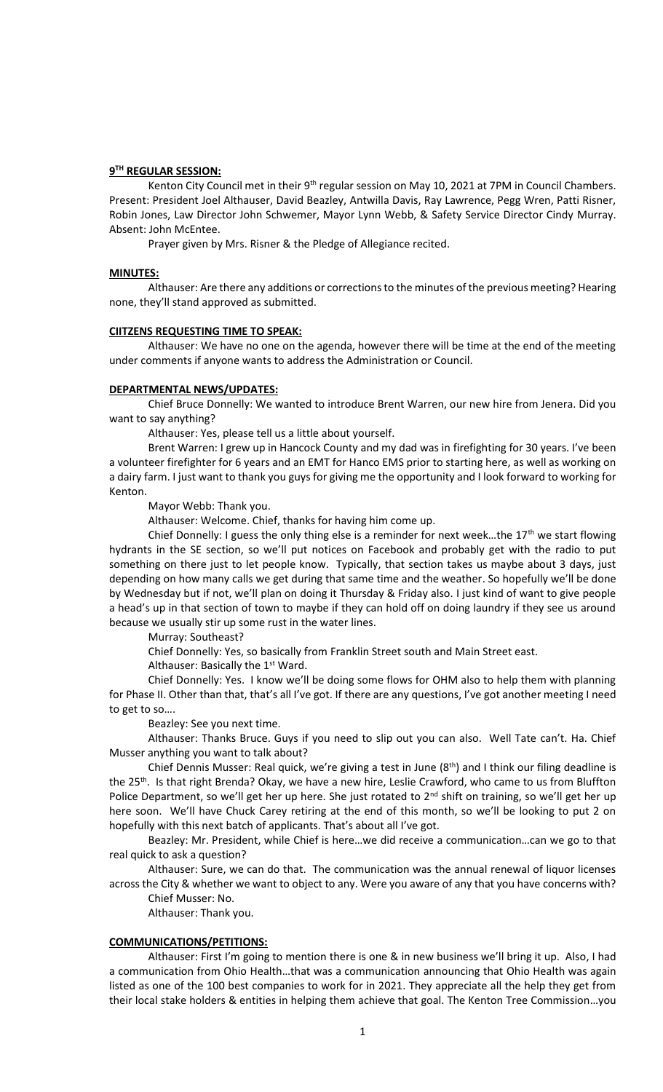## **9 TH REGULAR SESSION:**

Kenton City Council met in their 9<sup>th</sup> regular session on May 10, 2021 at 7PM in Council Chambers. Present: President Joel Althauser, David Beazley, Antwilla Davis, Ray Lawrence, Pegg Wren, Patti Risner, Robin Jones, Law Director John Schwemer, Mayor Lynn Webb, & Safety Service Director Cindy Murray. Absent: John McEntee.

Prayer given by Mrs. Risner & the Pledge of Allegiance recited.

## **MINUTES:**

Althauser: Are there any additions or corrections to the minutes of the previous meeting? Hearing none, they'll stand approved as submitted.

## **CIITZENS REQUESTING TIME TO SPEAK:**

Althauser: We have no one on the agenda, however there will be time at the end of the meeting under comments if anyone wants to address the Administration or Council.

## **DEPARTMENTAL NEWS/UPDATES:**

Chief Bruce Donnelly: We wanted to introduce Brent Warren, our new hire from Jenera. Did you want to say anything?

Althauser: Yes, please tell us a little about yourself.

Brent Warren: I grew up in Hancock County and my dad was in firefighting for 30 years. I've been a volunteer firefighter for 6 years and an EMT for Hanco EMS prior to starting here, as well as working on a dairy farm. I just want to thank you guys for giving me the opportunity and I look forward to working for Kenton.

Mayor Webb: Thank you.

Althauser: Welcome. Chief, thanks for having him come up.

Chief Donnelly: I guess the only thing else is a reminder for next week...the  $17<sup>th</sup>$  we start flowing hydrants in the SE section, so we'll put notices on Facebook and probably get with the radio to put something on there just to let people know. Typically, that section takes us maybe about 3 days, just depending on how many calls we get during that same time and the weather. So hopefully we'll be done by Wednesday but if not, we'll plan on doing it Thursday & Friday also. I just kind of want to give people a head's up in that section of town to maybe if they can hold off on doing laundry if they see us around because we usually stir up some rust in the water lines.

Murray: Southeast?

Chief Donnelly: Yes, so basically from Franklin Street south and Main Street east.

Althauser: Basically the  $1<sup>st</sup>$  Ward.

Chief Donnelly: Yes. I know we'll be doing some flows for OHM also to help them with planning for Phase II. Other than that, that's all I've got. If there are any questions, I've got another meeting I need to get to so….

Beazley: See you next time.

Althauser: Thanks Bruce. Guys if you need to slip out you can also. Well Tate can't. Ha. Chief Musser anything you want to talk about?

Chief Dennis Musser: Real quick, we're giving a test in June (8<sup>th</sup>) and I think our filing deadline is the 25th. Is that right Brenda? Okay, we have a new hire, Leslie Crawford, who came to us from Bluffton Police Department, so we'll get her up here. She just rotated to  $2^{nd}$  shift on training, so we'll get her up here soon. We'll have Chuck Carey retiring at the end of this month, so we'll be looking to put 2 on hopefully with this next batch of applicants. That's about all I've got.

Beazley: Mr. President, while Chief is here…we did receive a communication…can we go to that real quick to ask a question?

Althauser: Sure, we can do that. The communication was the annual renewal of liquor licenses across the City & whether we want to object to any. Were you aware of any that you have concerns with?

Chief Musser: No.

Althauser: Thank you.

#### **COMMUNICATIONS/PETITIONS:**

Althauser: First I'm going to mention there is one & in new business we'll bring it up. Also, I had a communication from Ohio Health…that was a communication announcing that Ohio Health was again listed as one of the 100 best companies to work for in 2021. They appreciate all the help they get from their local stake holders & entities in helping them achieve that goal. The Kenton Tree Commission…you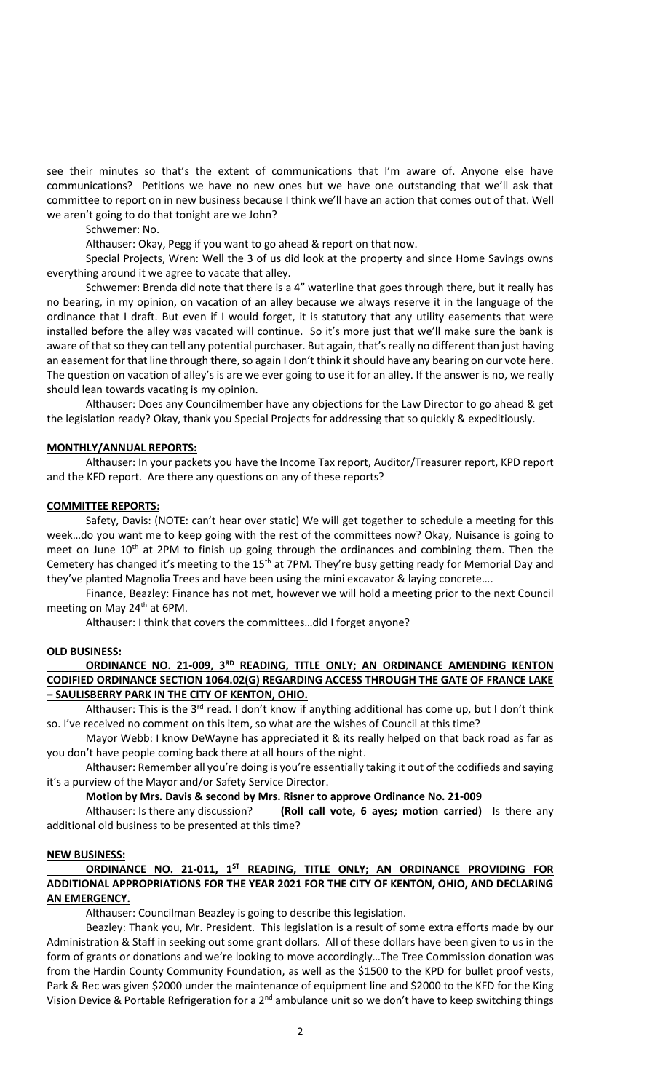see their minutes so that's the extent of communications that I'm aware of. Anyone else have communications? Petitions we have no new ones but we have one outstanding that we'll ask that committee to report on in new business because I think we'll have an action that comes out of that. Well we aren't going to do that tonight are we John?

Schwemer: No.

Althauser: Okay, Pegg if you want to go ahead & report on that now.

Special Projects, Wren: Well the 3 of us did look at the property and since Home Savings owns everything around it we agree to vacate that alley.

Schwemer: Brenda did note that there is a 4" waterline that goes through there, but it really has no bearing, in my opinion, on vacation of an alley because we always reserve it in the language of the ordinance that I draft. But even if I would forget, it is statutory that any utility easements that were installed before the alley was vacated will continue. So it's more just that we'll make sure the bank is aware of that so they can tell any potential purchaser. But again, that's really no different than just having an easement for that line through there, so again I don't think it should have any bearing on our vote here. The question on vacation of alley's is are we ever going to use it for an alley. If the answer is no, we really should lean towards vacating is my opinion.

Althauser: Does any Councilmember have any objections for the Law Director to go ahead & get the legislation ready? Okay, thank you Special Projects for addressing that so quickly & expeditiously.

## **MONTHLY/ANNUAL REPORTS:**

Althauser: In your packets you have the Income Tax report, Auditor/Treasurer report, KPD report and the KFD report. Are there any questions on any of these reports?

## **COMMITTEE REPORTS:**

Safety, Davis: (NOTE: can't hear over static) We will get together to schedule a meeting for this week…do you want me to keep going with the rest of the committees now? Okay, Nuisance is going to meet on June 10<sup>th</sup> at 2PM to finish up going through the ordinances and combining them. Then the Cemetery has changed it's meeting to the 15<sup>th</sup> at 7PM. They're busy getting ready for Memorial Day and they've planted Magnolia Trees and have been using the mini excavator & laying concrete….

Finance, Beazley: Finance has not met, however we will hold a meeting prior to the next Council meeting on May 24<sup>th</sup> at 6PM.

Althauser: I think that covers the committees…did I forget anyone?

## **OLD BUSINESS:**

# ORDINANCE NO. 21-009, 3<sup>RD</sup> READING, TITLE ONLY; AN ORDINANCE AMENDING KENTON **CODIFIED ORDINANCE SECTION 1064.02(G) REGARDING ACCESS THROUGH THE GATE OF FRANCE LAKE – SAULISBERRY PARK IN THE CITY OF KENTON, OHIO.**

Althauser: This is the  $3^{rd}$  read. I don't know if anything additional has come up, but I don't think so. I've received no comment on this item, so what are the wishes of Council at this time?

Mayor Webb: I know DeWayne has appreciated it & its really helped on that back road as far as you don't have people coming back there at all hours of the night.

Althauser: Remember all you're doing is you're essentially taking it out of the codifieds and saying it's a purview of the Mayor and/or Safety Service Director.

## **Motion by Mrs. Davis & second by Mrs. Risner to approve Ordinance No. 21-009**

Althauser: Is there any discussion? **(Roll call vote, 6 ayes; motion carried)** Is there any additional old business to be presented at this time?

## **NEW BUSINESS:**

# **ORDINANCE NO. 21-011, 1ST READING, TITLE ONLY; AN ORDINANCE PROVIDING FOR ADDITIONAL APPROPRIATIONS FOR THE YEAR 2021 FOR THE CITY OF KENTON, OHIO, AND DECLARING AN EMERGENCY.**

Althauser: Councilman Beazley is going to describe this legislation.

Beazley: Thank you, Mr. President. This legislation is a result of some extra efforts made by our Administration & Staff in seeking out some grant dollars. All of these dollars have been given to us in the form of grants or donations and we're looking to move accordingly…The Tree Commission donation was from the Hardin County Community Foundation, as well as the \$1500 to the KPD for bullet proof vests, Park & Rec was given \$2000 under the maintenance of equipment line and \$2000 to the KFD for the King Vision Device & Portable Refrigeration for a  $2^{nd}$  ambulance unit so we don't have to keep switching things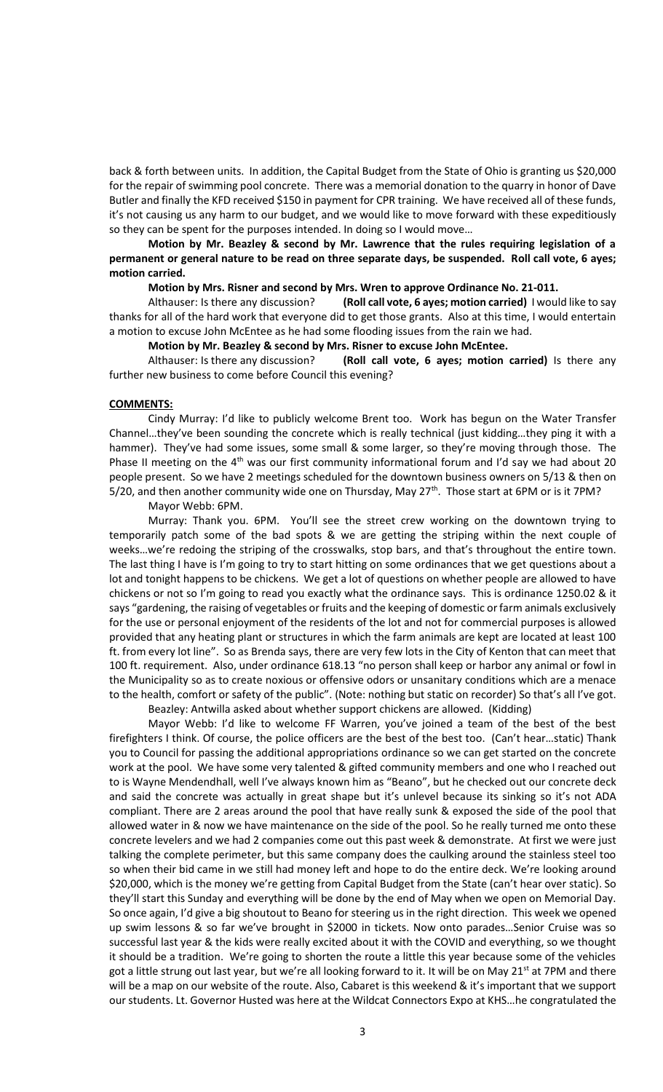back & forth between units. In addition, the Capital Budget from the State of Ohio is granting us \$20,000 for the repair of swimming pool concrete. There was a memorial donation to the quarry in honor of Dave Butler and finally the KFD received \$150 in payment for CPR training. We have received all of these funds, it's not causing us any harm to our budget, and we would like to move forward with these expeditiously so they can be spent for the purposes intended. In doing so I would move…

# **Motion by Mr. Beazley & second by Mr. Lawrence that the rules requiring legislation of a permanent or general nature to be read on three separate days, be suspended. Roll call vote, 6 ayes; motion carried.**

#### **Motion by Mrs. Risner and second by Mrs. Wren to approve Ordinance No. 21-011.**

Althauser: Is there any discussion? **(Roll call vote, 6 ayes; motion carried)** I would like to say thanks for all of the hard work that everyone did to get those grants. Also at this time, I would entertain a motion to excuse John McEntee as he had some flooding issues from the rain we had.

## **Motion by Mr. Beazley & second by Mrs. Risner to excuse John McEntee.**

Althauser: Is there any discussion? **(Roll call vote, 6 ayes; motion carried)** Is there any further new business to come before Council this evening?

#### **COMMENTS:**

Cindy Murray: I'd like to publicly welcome Brent too. Work has begun on the Water Transfer Channel…they've been sounding the concrete which is really technical (just kidding…they ping it with a hammer). They've had some issues, some small & some larger, so they're moving through those. The Phase II meeting on the  $4<sup>th</sup>$  was our first community informational forum and I'd say we had about 20 people present. So we have 2 meetings scheduled for the downtown business owners on 5/13 & then on 5/20, and then another community wide one on Thursday, May 27<sup>th</sup>. Those start at 6PM or is it 7PM?

Mayor Webb: 6PM.

Murray: Thank you. 6PM. You'll see the street crew working on the downtown trying to temporarily patch some of the bad spots & we are getting the striping within the next couple of weeks…we're redoing the striping of the crosswalks, stop bars, and that's throughout the entire town. The last thing I have is I'm going to try to start hitting on some ordinances that we get questions about a lot and tonight happens to be chickens. We get a lot of questions on whether people are allowed to have chickens or not so I'm going to read you exactly what the ordinance says. This is ordinance 1250.02 & it says "gardening, the raising of vegetables or fruits and the keeping of domestic or farm animals exclusively for the use or personal enjoyment of the residents of the lot and not for commercial purposes is allowed provided that any heating plant or structures in which the farm animals are kept are located at least 100 ft. from every lot line". So as Brenda says, there are very few lots in the City of Kenton that can meet that 100 ft. requirement. Also, under ordinance 618.13 "no person shall keep or harbor any animal or fowl in the Municipality so as to create noxious or offensive odors or unsanitary conditions which are a menace to the health, comfort or safety of the public". (Note: nothing but static on recorder) So that's all I've got.

Beazley: Antwilla asked about whether support chickens are allowed. (Kidding)

Mayor Webb: I'd like to welcome FF Warren, you've joined a team of the best of the best firefighters I think. Of course, the police officers are the best of the best too. (Can't hear…static) Thank you to Council for passing the additional appropriations ordinance so we can get started on the concrete work at the pool. We have some very talented & gifted community members and one who I reached out to is Wayne Mendendhall, well I've always known him as "Beano", but he checked out our concrete deck and said the concrete was actually in great shape but it's unlevel because its sinking so it's not ADA compliant. There are 2 areas around the pool that have really sunk & exposed the side of the pool that allowed water in & now we have maintenance on the side of the pool. So he really turned me onto these concrete levelers and we had 2 companies come out this past week & demonstrate. At first we were just talking the complete perimeter, but this same company does the caulking around the stainless steel too so when their bid came in we still had money left and hope to do the entire deck. We're looking around \$20,000, which is the money we're getting from Capital Budget from the State (can't hear over static). So they'll start this Sunday and everything will be done by the end of May when we open on Memorial Day. So once again, I'd give a big shoutout to Beano for steering us in the right direction. This week we opened up swim lessons & so far we've brought in \$2000 in tickets. Now onto parades…Senior Cruise was so successful last year & the kids were really excited about it with the COVID and everything, so we thought it should be a tradition. We're going to shorten the route a little this year because some of the vehicles got a little strung out last year, but we're all looking forward to it. It will be on May 21<sup>st</sup> at 7PM and there will be a map on our website of the route. Also, Cabaret is this weekend & it's important that we support our students. Lt. Governor Husted was here at the Wildcat Connectors Expo at KHS…he congratulated the